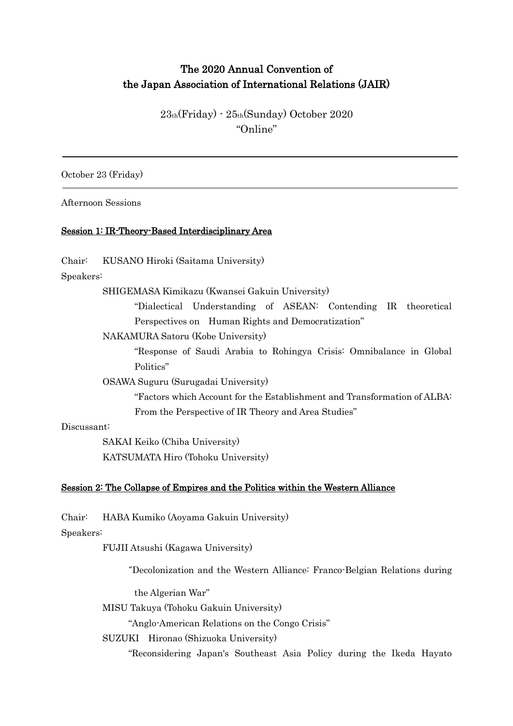# The 2020 Annual Convention of the Japan Association of International Relations (JAIR)

23th(Friday) - 25th(Sunday) October 2020 "Online"

October 23 (Friday)

Afternoon Sessions

## Session 1: IR-Theory-Based Interdisciplinary Area

Chair: KUSANO Hiroki (Saitama University)

Speakers:

SHIGEMASA Kimikazu (Kwansei Gakuin University)

"Dialectical Understanding of ASEAN: Contending IR theoretical Perspectives on Human Rights and Democratization"

NAKAMURA Satoru (Kobe University)

"Response of Saudi Arabia to Rohingya Crisis: Omnibalance in Global Politics"

OSAWA Suguru (Surugadai University)

"Factors which Account for the Establishment and Transformation of ALBA: From the Perspective of IR Theory and Area Studies"

## Discussant:

SAKAI Keiko (Chiba University) KATSUMATA Hiro (Tohoku University)

## Session 2: The Collapse of Empires and the Politics within the Western Alliance

Chair: HABA Kumiko (Aoyama Gakuin University)

## Speakers:

FUJII Atsushi (Kagawa University)

"Decolonization and the Western Alliance: Franco-Belgian Relations during

the Algerian War"

MISU Takuya (Tohoku Gakuin University)

"Anglo-American Relations on the Congo Crisis"

SUZUKI Hironao (Shizuoka University)

"Reconsidering Japan's Southeast Asia Policy during the Ikeda Hayato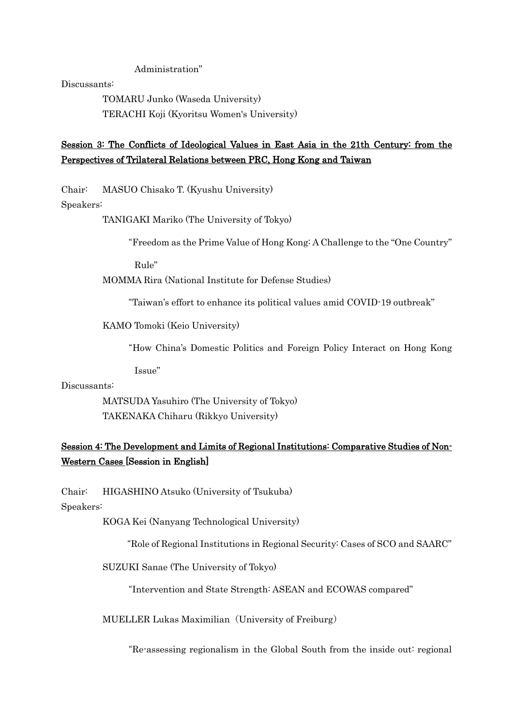Administration"

Discussants:

TOMARU Junko (Waseda University) TERACHI Koji (Kyoritsu Women's University)

## Session 3: The Conflicts of Ideological Values in East Asia in the 21th Century: from the Perspectives of Trilateral Relations between PRC, Hong Kong and Taiwan

Chair: MASUO Chisako T. (Kyushu University)

Speakers:

TANIGAKI Mariko (The University of Tokyo)

"Freedom as the Prime Value of Hong Kong: A Challenge to the "One Country"

Rule"

MOMMA Rira (National Institute for Defense Studies)

"Taiwan's effort to enhance its political values amid COVID-19 outbreak"

KAMO Tomoki (Keio University)

"How China's Domestic Politics and Foreign Policy Interact on Hong Kong

Issue"

Discussants:

MATSUDA Yasuhiro (The University of Tokyo) TAKENAKA Chiharu (Rikkyo University)

## Session 4: The Development and Limits of Regional Institutions: Comparative Studies of Non-Western Cases [Session in English]

Chair: HIGASHINO Atsuko (University of Tsukuba)

Speakers:

KOGA Kei (Nanyang Technological University)

"Role of Regional Institutions in Regional Security: Cases of SCO and SAARC"

SUZUKI Sanae (The University of Tokyo)

"Intervention and State Strength: ASEAN and ECOWAS compared"

MUELLER Lukas Maximilian (University of Freiburg)

"Re-assessing regionalism in the Global South from the inside out: regional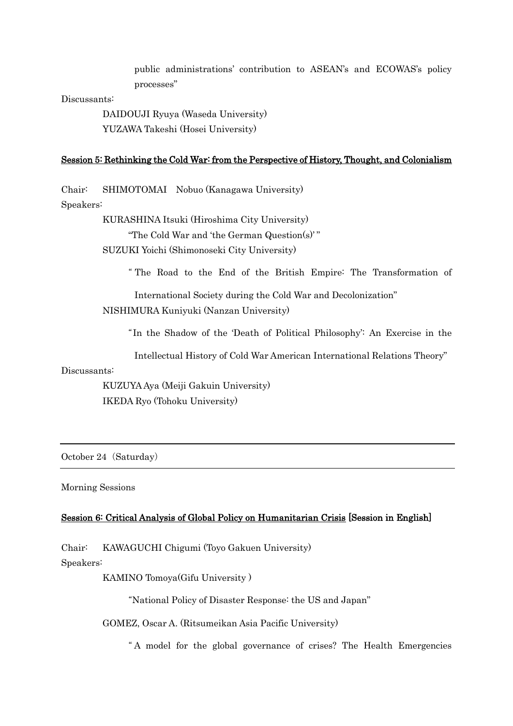public administrations' contribution to ASEAN's and ECOWAS's policy processes"

#### Discussants:

DAIDOUJI Ryuya (Waseda University) YUZAWA Takeshi (Hosei University)

### Session 5: Rethinking the Cold War: from the Perspective of History, Thought, and Colonialism

Chair: SHIMOTOMAI Nobuo (Kanagawa University)

Speakers:

KURASHINA Itsuki (Hiroshima City University) "The Cold War and 'the German Question(s)' "

SUZUKI Yoichi (Shimonoseki City University)

" The Road to the End of the British Empire: The Transformation of

International Society during the Cold War and Decolonization" NISHIMURA Kuniyuki (Nanzan University)

"In the Shadow of the 'Death of Political Philosophy': An Exercise in the

Intellectual History of Cold War American International Relations Theory"

#### Discussants:

KUZUYA Aya (Meiji Gakuin University) IKEDA Ryo (Tohoku University)

October 24 (Saturday)

#### Morning Sessions

### Session 6: Critical Analysis of Global Policy on Humanitarian Crisis [Session in English]

Chair: KAWAGUCHI Chigumi (Toyo Gakuen University)

Speakers:

KAMINO Tomoya(Gifu University )

"National Policy of Disaster Response: the US and Japan"

GOMEZ, Oscar A. (Ritsumeikan Asia Pacific University)

" A model for the global governance of crises? The Health Emergencies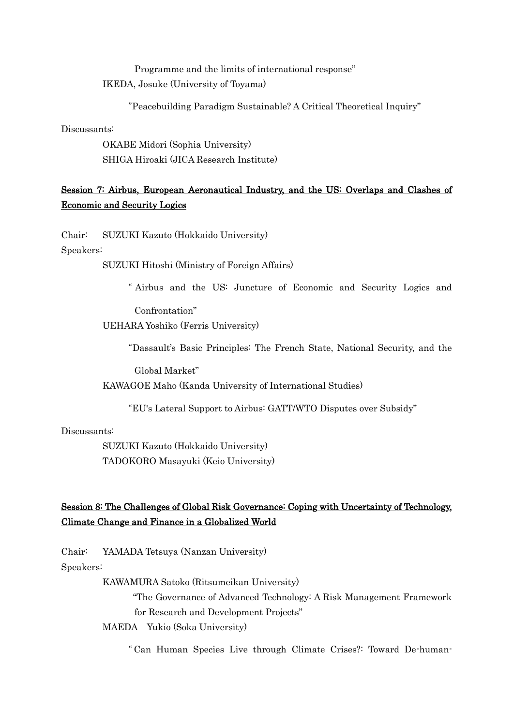Programme and the limits of international response" IKEDA, Josuke (University of Toyama)

"Peacebuilding Paradigm Sustainable? A Critical Theoretical Inquiry"

Discussants:

OKABE Midori (Sophia University) SHIGA Hiroaki (JICA Research Institute)

## Session 7: Airbus, European Aeronautical Industry, and the US: Overlaps and Clashes of Economic and Security Logics

Chair: SUZUKI Kazuto (Hokkaido University)

Speakers:

SUZUKI Hitoshi (Ministry of Foreign Affairs)

" Airbus and the US: Juncture of Economic and Security Logics and

Confrontation"

UEHARA Yoshiko (Ferris University)

"Dassault's Basic Principles: The French State, National Security, and the

Global Market"

KAWAGOE Maho (Kanda University of International Studies)

"EU's Lateral Support to Airbus: GATT/WTO Disputes over Subsidy"

## Discussants:

SUZUKI Kazuto (Hokkaido University) TADOKORO Masayuki (Keio University)

# Session 8: The Challenges of Global Risk Governance: Coping with Uncertainty of Technology, Climate Change and Finance in a Globalized World

Chair: YAMADA Tetsuya (Nanzan University)

Speakers:

KAWAMURA Satoko (Ritsumeikan University)

"The Governance of Advanced Technology: A Risk Management Framework for Research and Development Projects"

MAEDA Yukio (Soka University)

" Can Human Species Live through Climate Crises?: Toward De-human-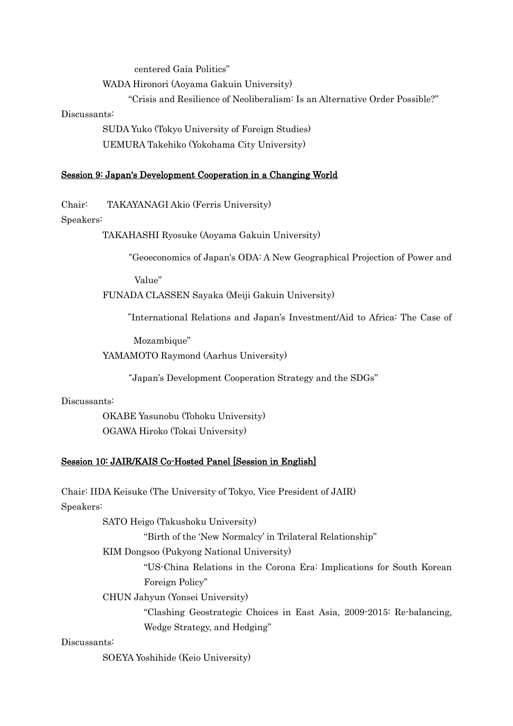centered Gaia Politics"

WADA Hironori (Aoyama Gakuin University)

"Crisis and Resilience of Neoliberalism: Is an Alternative Order Possible?"

#### Discussants:

SUDA Yuko (Tokyo University of Foreign Studies) UEMURA Takehiko (Yokohama City University)

### Session 9: Japan's Development Cooperation in a Changing World

Chair: TAKAYANAGI Akio (Ferris University)

#### Speakers:

TAKAHASHI Ryosuke (Aoyama Gakuin University)

"Geoeconomics of Japan's ODA: A New Geographical Projection of Power and

Value"

FUNADA CLASSEN Sayaka (Meiji Gakuin University)

"International Relations and Japan's Investment/Aid to Africa: The Case of

Mozambique"

YAMAMOTO Raymond (Aarhus University)

"Japan's Development Cooperation Strategy and the SDGs"

#### Discussants:

OKABE Yasunobu (Tohoku University) OGAWA Hiroko (Tokai University)

## Session 10: JAIR/KAIS Co-Hosted Panel [Session in English]

Chair: IIDA Keisuke (The University of Tokyo, Vice President of JAIR)

Speakers:

SATO Heigo (Takushoku University)

"Birth of the 'New Normalcy' in Trilateral Relationship"

KIM Dongsoo (Pukyong National University)

"US-China Relations in the Corona Era: Implications for South Korean Foreign Policy"

CHUN Jahyun (Yonsei University)

"Clashing Geostrategic Choices in East Asia, 2009-2015: Re-balancing, Wedge Strategy, and Hedging"

## Discussants:

SOEYA Yoshihide (Keio University)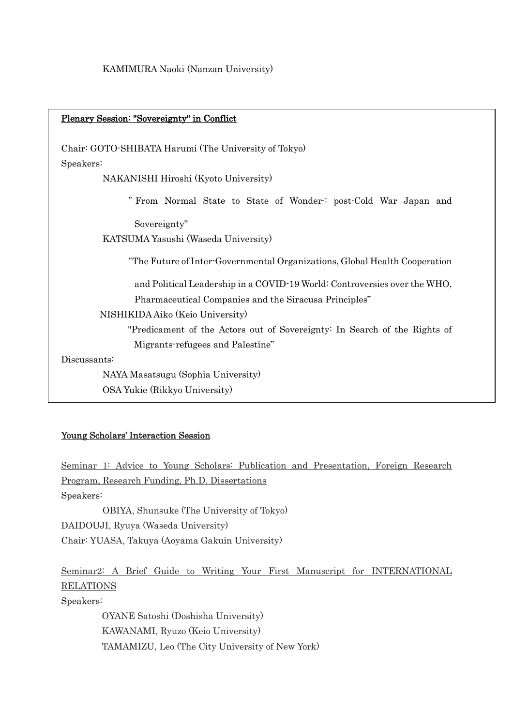Plenary Session: "Sovereignty" in Conflict

Chair: GOTO-SHIBATA Harumi (The University of Tokyo) Speakers:

NAKANISHI Hiroshi (Kyoto University)

" From Normal State to State of Wonder-: post-Cold War Japan and

Sovereignty"

KATSUMA Yasushi (Waseda University)

"The Future of Inter-Governmental Organizations, Global Health Cooperation

and Political Leadership in a COVID-19 World: Controversies over the WHO, Pharmaceutical Companies and the Siracusa Principles"

## NISHIKIDA Aiko (Keio University)

"Predicament of the Actors out of Sovereignty: In Search of the Rights of Migrants-refugees and Palestine"

Discussants:

OSA Yukie (Rikkyo University) NAYA Masatsugu (Sophia University)

## Young Scholars' Interaction Session

Seminar 1: Advice to Young Scholars: Publication and Presentation, Foreign Research Program, Research Funding, Ph.D. Dissertations Speakers:

OBIYA, Shunsuke (The University of Tokyo) DAIDOUJI, Ryuya (Waseda University) Chair: YUASA, Takuya (Aoyama Gakuin University)

Seminar2: A Brief Guide to Writing Your First Manuscript for INTERNATIONAL RELATIONS Speakers:

> OYANE Satoshi (Doshisha University) KAWANAMI, Ryuzo (Keio University) TAMAMIZU, Leo (The City University of New York)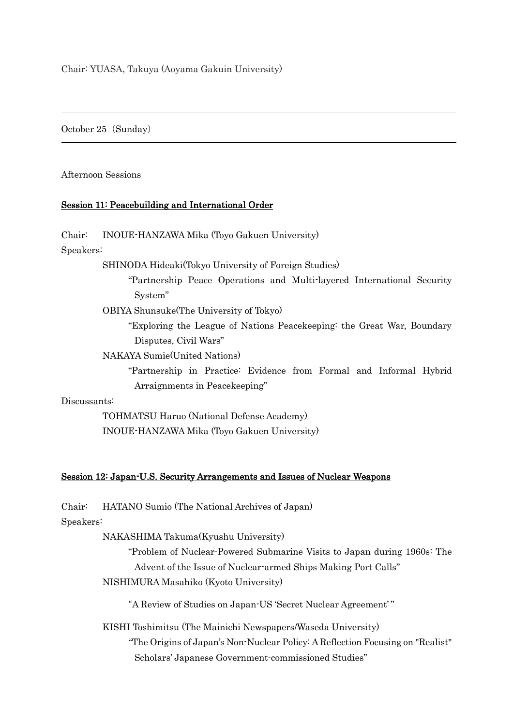October 25 (Sunday)

Afternoon Sessions

## Session 11: Peacebuilding and International Order

Chair: INOUE-HANZAWA Mika (Toyo Gakuen University)

Speakers:

Ī

SHINODA Hideaki(Tokyo University of Foreign Studies)

"Partnership Peace Operations and Multi-layered International Security System"

OBIYA Shunsuke(The University of Tokyo)

"Exploring the League of Nations Peacekeeping: the Great War, Boundary Disputes, Civil Wars"

NAKAYA Sumie(United Nations)

"Partnership in Practice: Evidence from Formal and Informal Hybrid Arraignments in Peacekeeping"

Discussants:

TOHMATSU Haruo (National Defense Academy) INOUE-HANZAWA Mika (Toyo Gakuen University)

## Session 12: Japan-U.S. Security Arrangements and Issues of Nuclear Weapons

Chair: HATANO Sumio (The National Archives of Japan)

Speakers:

NAKASHIMA Takuma(Kyushu University)

"Problem of Nuclear-Powered Submarine Visits to Japan during 1960s: The Advent of the Issue of Nuclear-armed Ships Making Port Calls" NISHIMURA Masahiko (Kyoto University)

"A Review of Studies on Japan-US 'Secret Nuclear Agreement' "

KISHI Toshimitsu (The Mainichi Newspapers/Waseda University)

"The Origins of Japan's Non-Nuclear Policy: A Reflection Focusing on "Realist" Scholars' Japanese Government-commissioned Studies"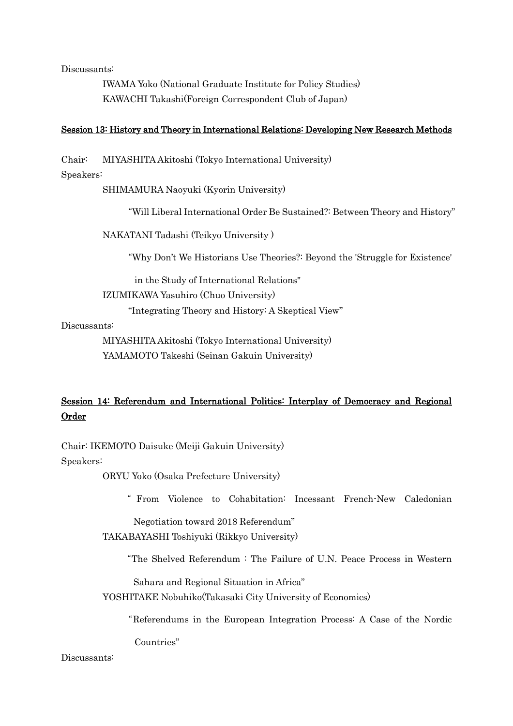Discussants:

IWAMA Yoko (National Graduate Institute for Policy Studies) KAWACHI Takashi(Foreign Correspondent Club of Japan)

### Session 13: History and Theory in International Relations: Developing New Research Methods

Chair: MIYASHITA Akitoshi (Tokyo International University)

## Speakers:

SHIMAMURA Naoyuki (Kyorin University)

"Will Liberal International Order Be Sustained?: Between Theory and History"

NAKATANI Tadashi (Teikyo University )

"Why Don't We Historians Use Theories?: Beyond the 'Struggle for Existence'

in the Study of International Relations"

IZUMIKAWA Yasuhiro (Chuo University)

"Integrating Theory and History: A Skeptical View"

### Discussants:

MIYASHITA Akitoshi (Tokyo International University) YAMAMOTO Takeshi (Seinan Gakuin University)

## Session 14: Referendum and International Politics: Interplay of Democracy and Regional Order

Chair: IKEMOTO Daisuke (Meiji Gakuin University)

Speakers:

ORYU Yoko (Osaka Prefecture University)

" From Violence to Cohabitation: Incessant French-New Caledonian

Negotiation toward 2018 Referendum"

TAKABAYASHI Toshiyuki (Rikkyo University)

"The Shelved Referendum : The Failure of U.N. Peace Process in Western

Sahara and Regional Situation in Africa"

YOSHITAKE Nobuhiko(Takasaki City University of Economics)

"Referendums in the European Integration Process: A Case of the Nordic

Countries"

## Discussants: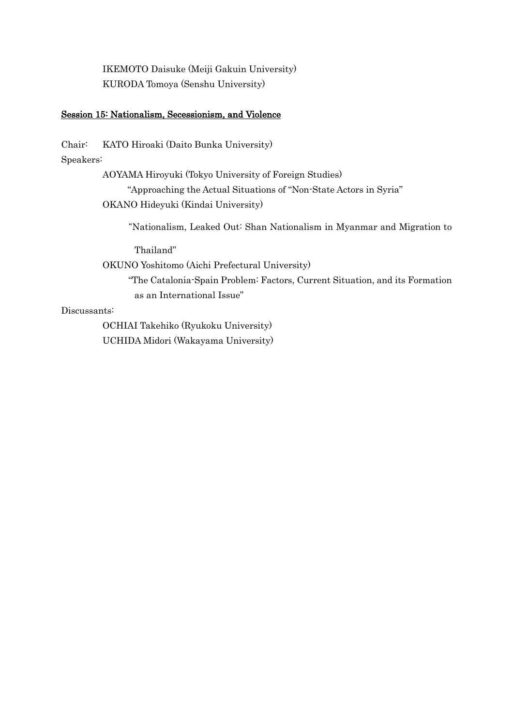IKEMOTO Daisuke (Meiji Gakuin University) KURODA Tomoya (Senshu University)

## Session 15: Nationalism, Secessionism, and Violence

Chair: KATO Hiroaki (Daito Bunka University)

Speakers:

AOYAMA Hiroyuki (Tokyo University of Foreign Studies)

"Approaching the Actual Situations of "Non-State Actors in Syria" OKANO Hideyuki (Kindai University)

"Nationalism, Leaked Out: Shan Nationalism in Myanmar and Migration to

Thailand"

OKUNO Yoshitomo (Aichi Prefectural University)

"The Catalonia-Spain Problem: Factors, Current Situation, and its Formation as an International Issue"

Discussants:

OCHIAI Takehiko (Ryukoku University) UCHIDA Midori (Wakayama University)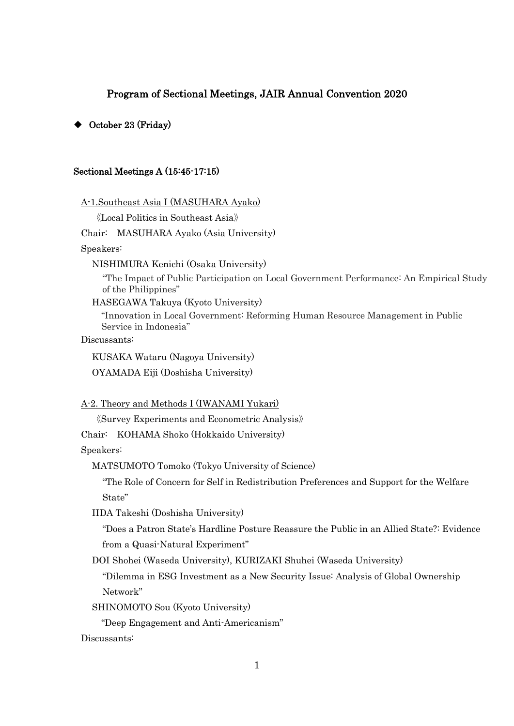## Program of Sectional Meetings, JAIR Annual Convention 2020

## ◆ October 23 (Friday)

#### Sectional Meetings A (15:45-17:15)

A-1.Southeast Asia I (MASUHARA Ayako)

《Local Politics in Southeast Asia》

Chair: MASUHARA Ayako (Asia University)

Speakers:

NISHIMURA Kenichi (Osaka University)

"The Impact of Public Participation on Local Government Performance: An Empirical Study of the Philippines"

HASEGAWA Takuya (Kyoto University)

"Innovation in Local Government: Reforming Human Resource Management in Public Service in Indonesia"

Discussants:

KUSAKA Wataru (Nagoya University) OYAMADA Eiji (Doshisha University)

A-2. Theory and Methods I (IWANAMI Yukari)

《Survey Experiments and Econometric Analysis》

Chair: KOHAMA Shoko (Hokkaido University)

Speakers:

MATSUMOTO Tomoko (Tokyo University of Science)

"The Role of Concern for Self in Redistribution Preferences and Support for the Welfare State"

IIDA Takeshi (Doshisha University)

"Does a Patron State's Hardline Posture Reassure the Public in an Allied State?: Evidence from a Quasi-Natural Experiment"

DOI Shohei (Waseda University), KURIZAKI Shuhei (Waseda University)

"Dilemma in ESG Investment as a New Security Issue: Analysis of Global Ownership Network"

SHINOMOTO Sou (Kyoto University)

"Deep Engagement and Anti-Americanism"

Discussants: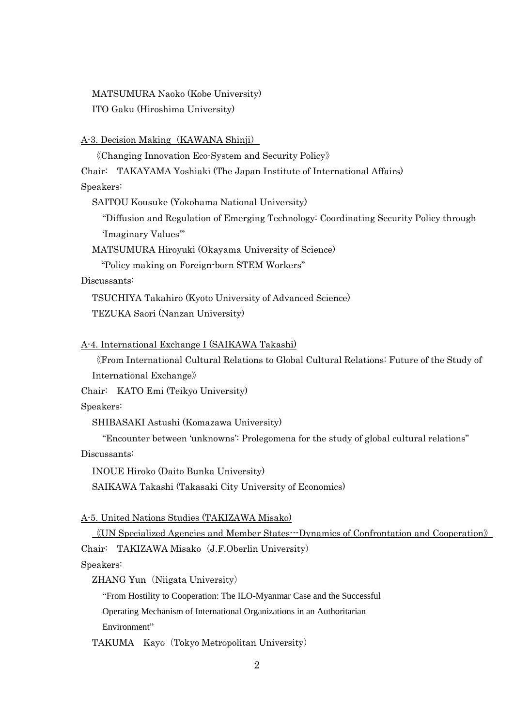MATSUMURA Naoko (Kobe University) ITO Gaku (Hiroshima University)

#### A-3. Decision Making (KAWANA Shinji)

《Changing Innovation Eco-System and Security Policy》

Chair: TAKAYAMA Yoshiaki (The Japan Institute of International Affairs)

Speakers:

SAITOU Kousuke (Yokohama National University)

"Diffusion and Regulation of Emerging Technology: Coordinating Security Policy through 'Imaginary Values'"

MATSUMURA Hiroyuki (Okayama University of Science)

"Policy making on Foreign-born STEM Workers"

## Discussants:

TSUCHIYA Takahiro (Kyoto University of Advanced Science) TEZUKA Saori (Nanzan University)

## A-4. International Exchange I (SAIKAWA Takashi)

《From International Cultural Relations to Global Cultural Relations: Future of the Study of International Exchange》

Chair: KATO Emi (Teikyo University)

Speakers:

SHIBASAKI Astushi (Komazawa University)

"Encounter between 'unknowns': Prolegomena for the study of global cultural relations"

Discussants:

INOUE Hiroko (Daito Bunka University)

SAIKAWA Takashi (Takasaki City University of Economics)

A-5. United Nations Studies (TAKIZAWA Misako)

《UN Specialized Agencies and Member States---Dynamics of Confrontation and Cooperation》

Chair: TAKIZAWA Misako (J.F.Oberlin University)

Speakers:

ZHANG Yun (Niigata University)

"From Hostility to Cooperation: The ILO-Myanmar Case and the Successful

Operating Mechanism of International Organizations in an Authoritarian

Environment"

TAKUMA Kayo (Tokyo Metropolitan University)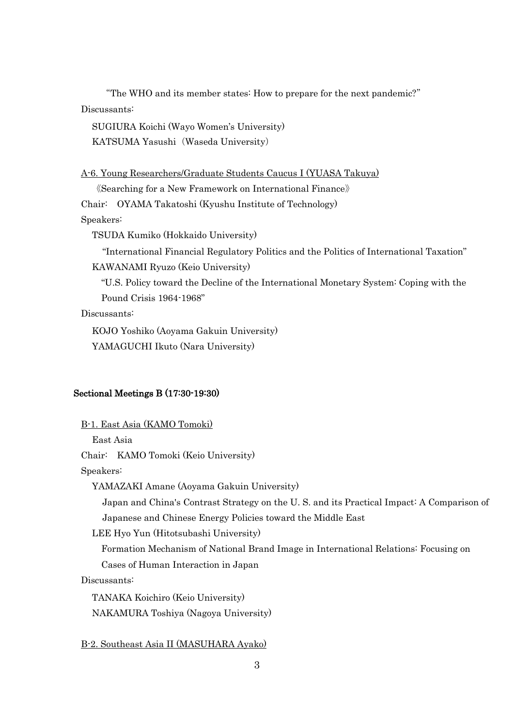"The WHO and its member states: How to prepare for the next pandemic?" Discussants:

SUGIURA Koichi (Wayo Women's University) KATSUMA Yasushi (Waseda University)

## A-6. Young Researchers/Graduate Students Caucus I (YUASA Takuya)

《Searching for a New Framework on International Finance》

Chair: OYAMA Takatoshi (Kyushu Institute of Technology)

Speakers:

TSUDA Kumiko (Hokkaido University)

"International Financial Regulatory Politics and the Politics of International Taxation" KAWANAMI Ryuzo (Keio University)

"U.S. Policy toward the Decline of the International Monetary System: Coping with the Pound Crisis 1964-1968"

Discussants:

KOJO Yoshiko (Aoyama Gakuin University) YAMAGUCHI Ikuto (Nara University)

## Sectional Meetings B (17:30-19:30)

B-1. East Asia (KAMO Tomoki)

East Asia

Chair: KAMO Tomoki (Keio University)

Speakers:

YAMAZAKI Amane (Aoyama Gakuin University)

Japan and China's Contrast Strategy on the U. S. and its Practical Impact: A Comparison of Japanese and Chinese Energy Policies toward the Middle East

LEE Hyo Yun (Hitotsubashi University)

Formation Mechanism of National Brand Image in International Relations: Focusing on

Cases of Human Interaction in Japan

Discussants:

TANAKA Koichiro (Keio University) NAKAMURA Toshiya (Nagoya University)

B-2. Southeast Asia II (MASUHARA Ayako)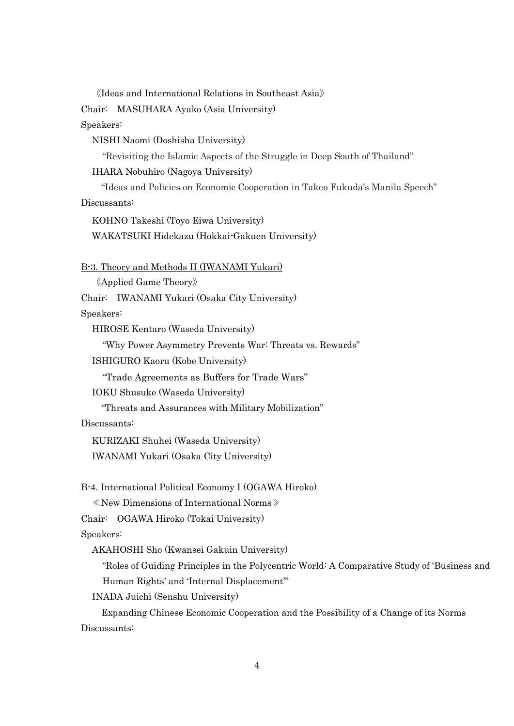《Ideas and International Relations in Southeast Asia》

Chair: MASUHARA Ayako (Asia University)

Speakers:

NISHI Naomi (Doshisha University)

"Revisiting the Islamic Aspects of the Struggle in Deep South of Thailand"

IHARA Nobuhiro (Nagoya University)

"Ideas and Policies on Economic Cooperation in Takeo Fukuda's Manila Speech" Discussants:

KOHNO Takeshi (Toyo Eiwa University) WAKATSUKI Hidekazu (Hokkai-Gakuen University)

B-3. Theory and Methods II (IWANAMI Yukari)

《Applied Game Theory》

Chair: IWANAMI Yukari (Osaka City University)

Speakers:

HIROSE Kentaro (Waseda University)

"Why Power Asymmetry Prevents War: Threats vs. Rewards"

ISHIGURO Kaoru (Kobe University)

"Trade Agreements as Buffers for Trade Wars"

IOKU Shusuke (Waseda University)

"Threats and Assurances with Military Mobilization"

Discussants:

KURIZAKI Shuhei (Waseda University) IWANAMI Yukari (Osaka City University)

B-4. International Political Economy I (OGAWA Hiroko)

≪New Dimensions of International Norms≫

Chair: OGAWA Hiroko (Tokai University)

Speakers:

AKAHOSHI Sho (Kwansei Gakuin University)

"Roles of Guiding Principles in the Polycentric World: A Comparative Study of 'Business and Human Rights' and 'Internal Displacement'"

INADA Juichi (Senshu University)

Expanding Chinese Economic Cooperation and the Possibility of a Change of its Norms Discussants: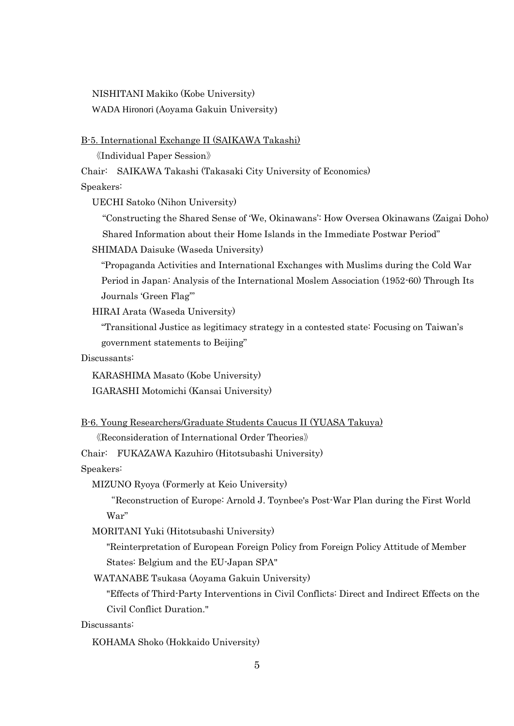NISHITANI Makiko (Kobe University) WADA Hironori (Aoyama Gakuin University)

B-5. International Exchange II (SAIKAWA Takashi)

《Individual Paper Session》

Chair: SAIKAWA Takashi (Takasaki City University of Economics)

Speakers:

UECHI Satoko (Nihon University)

"Constructing the Shared Sense of 'We, Okinawans': How Oversea Okinawans (Zaigai Doho) Shared Information about their Home Islands in the Immediate Postwar Period"

SHIMADA Daisuke (Waseda University)

"Propaganda Activities and International Exchanges with Muslims during the Cold War Period in Japan: Analysis of the International Moslem Association (1952-60) Through Its Journals 'Green Flag'"

HIRAI Arata (Waseda University)

"Transitional Justice as legitimacy strategy in a contested state: Focusing on Taiwan's government statements to Beijing"

Discussants:

KARASHIMA Masato (Kobe University)

IGARASHI Motomichi (Kansai University)

B-6. Young Researchers/Graduate Students Caucus II (YUASA Takuya)

《Reconsideration of International Order Theories》

Chair: FUKAZAWA Kazuhiro (Hitotsubashi University)

Speakers:

MIZUNO Ryoya (Formerly at Keio University)

"Reconstruction of Europe: Arnold J. Toynbee's Post-War Plan during the First World War"

MORITANI Yuki (Hitotsubashi University)

"Reinterpretation of European Foreign Policy from Foreign Policy Attitude of Member States: Belgium and the EU-Japan SPA"

WATANABE Tsukasa (Aoyama Gakuin University)

"Effects of Third-Party Interventions in Civil Conflicts: Direct and Indirect Effects on the Civil Conflict Duration."

Discussants:

KOHAMA Shoko (Hokkaido University)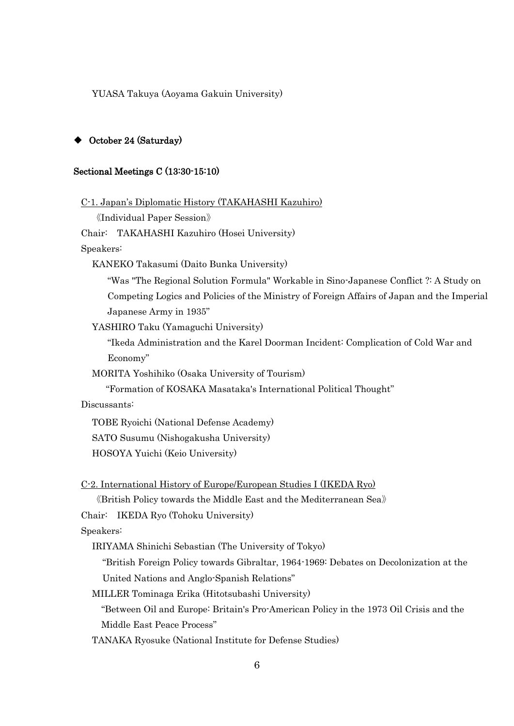YUASA Takuya (Aoyama Gakuin University)

## ◆ October 24 (Saturday)

#### Sectional Meetings C (13:30-15:10)

C-1. Japan's Diplomatic History (TAKAHASHI Kazuhiro)

《Individual Paper Session》

Chair: TAKAHASHI Kazuhiro (Hosei University)

Speakers:

KANEKO Takasumi (Daito Bunka University)

"Was "The Regional Solution Formula" Workable in Sino-Japanese Conflict ?: A Study on Competing Logics and Policies of the Ministry of Foreign Affairs of Japan and the Imperial Japanese Army in 1935"

YASHIRO Taku (Yamaguchi University)

"Ikeda Administration and the Karel Doorman Incident: Complication of Cold War and Economy"

MORITA Yoshihiko (Osaka University of Tourism)

"Formation of KOSAKA Masataka's International Political Thought"

Discussants:

TOBE Ryoichi (National Defense Academy)

SATO Susumu (Nishogakusha University)

HOSOYA Yuichi (Keio University)

C-2. International History of Europe/European Studies I (IKEDA Ryo)

《British Policy towards the Middle East and the Mediterranean Sea》

Chair: IKEDA Ryo (Tohoku University)

Speakers:

IRIYAMA Shinichi Sebastian (The University of Tokyo)

"British Foreign Policy towards Gibraltar, 1964-1969: Debates on Decolonization at the United Nations and Anglo-Spanish Relations"

MILLER Tominaga Erika (Hitotsubashi University)

"Between Oil and Europe: Britain's Pro-American Policy in the 1973 Oil Crisis and the Middle East Peace Process"

TANAKA Ryosuke (National Institute for Defense Studies)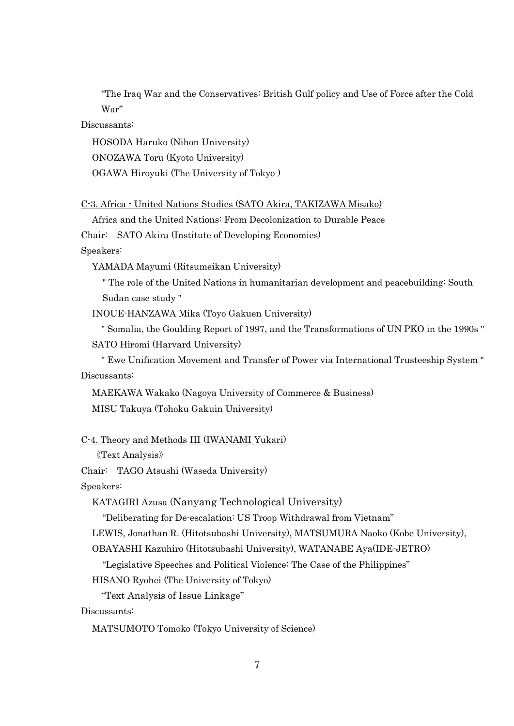"The Iraq War and the Conservatives: British Gulf policy and Use of Force after the Cold War"

Discussants:

HOSODA Haruko (Nihon University) ONOZAWA Toru (Kyoto University) OGAWA Hiroyuki (The University of Tokyo )

```
C-3. Africa - United Nations Studies (SATO Akira, TAKIZAWA Misako)
```
Africa and the United Nations: From Decolonization to Durable Peace

Chair: SATO Akira (Institute of Developing Economies)

Speakers:

YAMADA Mayumi (Ritsumeikan University)

" The role of the United Nations in humanitarian development and peacebuilding: South Sudan case study "

INOUE-HANZAWA Mika (Toyo Gakuen University)

" Somalia, the Goulding Report of 1997, and the Transformations of UN PKO in the 1990s " SATO Hiromi (Harvard University)

" Ewe Unification Movement and Transfer of Power via International Trusteeship System " Discussants:

MAEKAWA Wakako (Nagoya University of Commerce & Business) MISU Takuya (Tohoku Gakuin University)

#### C-4. Theory and Methods III (IWANAMI Yukari)

```
《Text Analysis》
```
Chair: TAGO Atsushi (Waseda University)

Speakers:

KATAGIRI Azusa (Nanyang Technological University)

"Deliberating for De-escalation: US Troop Withdrawal from Vietnam"

LEWIS, Jonathan R. (Hitotsubashi University), MATSUMURA Naoko (Kobe University),

OBAYASHI Kazuhiro (Hitotsubashi University), WATANABE Aya(IDE-JETRO)

"Legislative Speeches and Political Violence: The Case of the Philippines"

HISANO Ryohei (The University of Tokyo)

"Text Analysis of Issue Linkage"

Discussants:

MATSUMOTO Tomoko (Tokyo University of Science)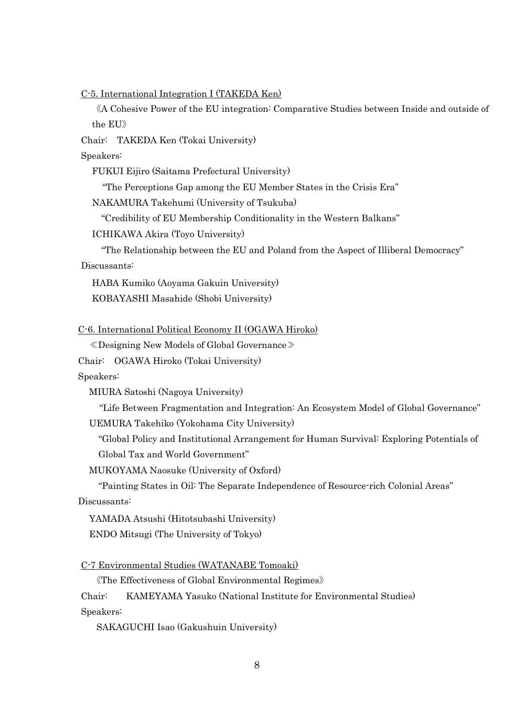C-5. International Integration I (TAKEDA Ken)

《A Cohesive Power of the EU integration: Comparative Studies between Inside and outside of the EU》

Chair: TAKEDA Ken (Tokai University)

Speakers:

FUKUI Eijiro (Saitama Prefectural University)

"The Perceptions Gap among the EU Member States in the Crisis Era"

NAKAMURA Takehumi (University of Tsukuba)

"Credibility of EU Membership Conditionality in the Western Balkans"

ICHIKAWA Akira (Toyo University)

"The Relationship between the EU and Poland from the Aspect of Illiberal Democracy" Discussants:

HABA Kumiko (Aoyama Gakuin University) KOBAYASHI Masahide (Shobi University)

C-6. International Political Economy II (OGAWA Hiroko)

≪Designing New Models of Global Governance≫

Chair: OGAWA Hiroko (Tokai University)

Speakers:

MIURA Satoshi (Nagoya University)

"Life Between Fragmentation and Integration: An Ecosystem Model of Global Governance" UEMURA Takehiko (Yokohama City University)

"Global Policy and Institutional Arrangement for Human Survival: Exploring Potentials of Global Tax and World Government"

MUKOYAMA Naosuke (University of Oxford)

"Painting States in Oil: The Separate Independence of Resource-rich Colonial Areas" Discussants:

YAMADA Atsushi (Hitotsubashi University)

ENDO Mitsugi (The University of Tokyo)

C-7 Environmental Studies (WATANABE Tomoaki)

《The Effectiveness of Global Environmental Regimes》

Chair: KAMEYAMA Yasuko (National Institute for Environmental Studies) Speakers:

SAKAGUCHI Isao (Gakushuin University)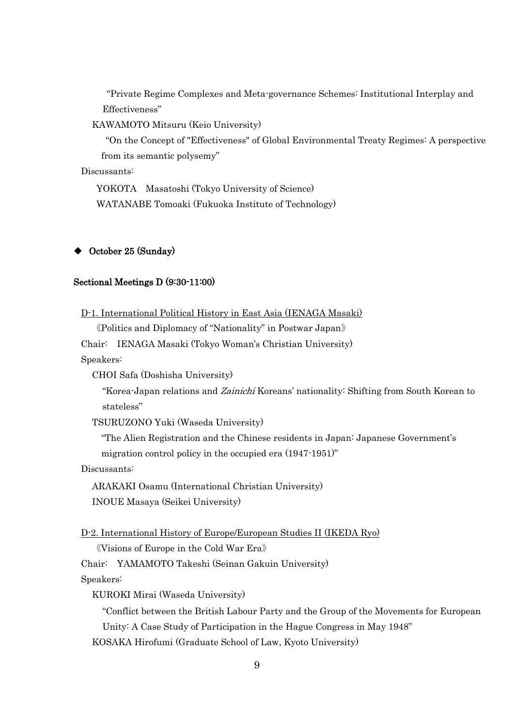"Private Regime Complexes and Meta-governance Schemes: Institutional Interplay and Effectiveness"

KAWAMOTO Mitsuru (Keio University)

"On the Concept of "Effectiveness" of Global Environmental Treaty Regimes: A perspective from its semantic polysemy"

Discussants:

YOKOTA Masatoshi (Tokyo University of Science) WATANABE Tomoaki (Fukuoka Institute of Technology)

### October 25 (Sunday)

## Sectional Meetings D (9:30-11:00)

D-1. International Political History in East Asia (IENAGA Masaki)

《Politics and Diplomacy of "Nationality" in Postwar Japan》

Chair: IENAGA Masaki (Tokyo Woman's Christian University)

Speakers:

CHOI Safa (Doshisha University)

"Korea-Japan relations and Zainichi Koreans' nationality: Shifting from South Korean to stateless"

TSURUZONO Yuki (Waseda University)

"The Alien Registration and the Chinese residents in Japan: Japanese Government's

migration control policy in the occupied era (1947-1951)"

Discussants:

ARAKAKI Osamu (International Christian University) INOUE Masaya (Seikei University)

D-2. International History of Europe/European Studies II (IKEDA Ryo)

《Visions of Europe in the Cold War Era》

Chair: YAMAMOTO Takeshi (Seinan Gakuin University)

Speakers:

KUROKI Mirai (Waseda University)

"Conflict between the British Labour Party and the Group of the Movements for European

Unity: A Case Study of Participation in the Hague Congress in May 1948"

KOSAKA Hirofumi (Graduate School of Law, Kyoto University)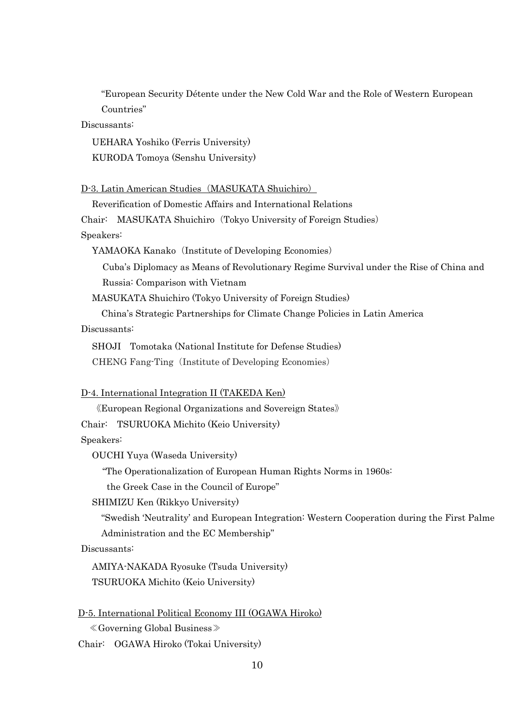"European Security Détente under the New Cold War and the Role of Western European Countries"

Discussants:

UEHARA Yoshiko (Ferris University) KURODA Tomoya (Senshu University)

D-3. Latin American Studies (MASUKATA Shuichiro)

Reverification of Domestic Affairs and International Relations

Chair: MASUKATA Shuichiro (Tokyo University of Foreign Studies)

Speakers:

YAMAOKA Kanako (Institute of Developing Economies)

Cuba's Diplomacy as Means of Revolutionary Regime Survival under the Rise of China and Russia: Comparison with Vietnam

MASUKATA Shuichiro (Tokyo University of Foreign Studies)

China's Strategic Partnerships for Climate Change Policies in Latin America

Discussants:

SHOJI Tomotaka (National Institute for Defense Studies)

CHENG Fang-Ting (Institute of Developing Economies)

### D-4. International Integration II (TAKEDA Ken)

《European Regional Organizations and Sovereign States》

Chair: TSURUOKA Michito (Keio University)

Speakers:

OUCHI Yuya (Waseda University)

"The Operationalization of European Human Rights Norms in 1960s:

the Greek Case in the Council of Europe"

SHIMIZU Ken (Rikkyo University)

"Swedish 'Neutrality' and European Integration: Western Cooperation during the First Palme Administration and the EC Membership"

Discussants:

AMIYA-NAKADA Ryosuke (Tsuda University) TSURUOKA Michito (Keio University)

|--|

≪Governing Global Business≫

Chair: OGAWA Hiroko (Tokai University)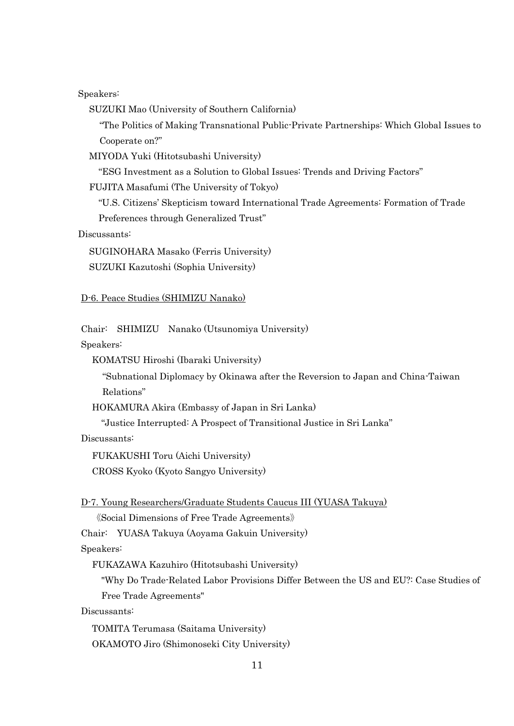Speakers:

SUZUKI Mao (University of Southern California)

"The Politics of Making Transnational Public-Private Partnerships: Which Global Issues to Cooperate on?"

MIYODA Yuki (Hitotsubashi University)

"ESG Investment as a Solution to Global Issues: Trends and Driving Factors"

FUJITA Masafumi (The University of Tokyo)

"U.S. Citizens' Skepticism toward International Trade Agreements: Formation of Trade Preferences through Generalized Trust"

Discussants:

SUGINOHARA Masako (Ferris University) SUZUKI Kazutoshi (Sophia University)

# D-6. Peace Studies (SHIMIZU Nanako)

Chair: SHIMIZU Nanako (Utsunomiya University)

Speakers:

KOMATSU Hiroshi (Ibaraki University)

"Subnational Diplomacy by Okinawa after the Reversion to Japan and China-Taiwan Relations"

HOKAMURA Akira (Embassy of Japan in Sri Lanka)

"Justice Interrupted: A Prospect of Transitional Justice in Sri Lanka"

Discussants:

FUKAKUSHI Toru (Aichi University)

CROSS Kyoko (Kyoto Sangyo University)

D-7. Young Researchers/Graduate Students Caucus III (YUASA Takuya)

《Social Dimensions of Free Trade Agreements》

Chair: YUASA Takuya (Aoyama Gakuin University)

Speakers:

FUKAZAWA Kazuhiro (Hitotsubashi University)

"Why Do Trade-Related Labor Provisions Differ Between the US and EU?: Case Studies of Free Trade Agreements"

Discussants:

TOMITA Terumasa (Saitama University) OKAMOTO Jiro (Shimonoseki City University)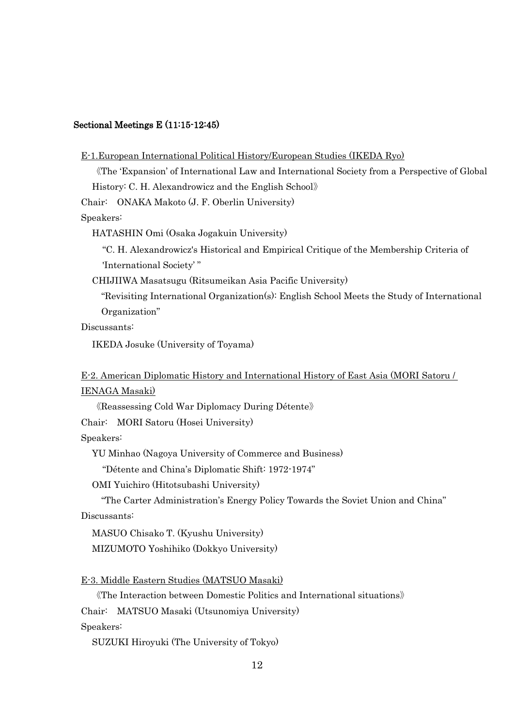#### Sectional Meetings E (11:15-12:45)

#### E-1.European International Political History/European Studies (IKEDA Ryo)

《The 'Expansion' of International Law and International Society from a Perspective of Global History: C. H. Alexandrowicz and the English School》

Chair: ONAKA Makoto (J. F. Oberlin University)

Speakers:

HATASHIN Omi (Osaka Jogakuin University)

"C. H. Alexandrowicz's Historical and Empirical Critique of the Membership Criteria of 'International Society' "

CHIJIIWA Masatsugu (Ritsumeikan Asia Pacific University)

"Revisiting International Organization(s): English School Meets the Study of International Organization"

Discussants:

IKEDA Josuke (University of Toyama)

## E-2. American Diplomatic History and International History of East Asia (MORI Satoru / IENAGA Masaki)

《Reassessing Cold War Diplomacy During Détente》

Chair: MORI Satoru (Hosei University)

Speakers:

YU Minhao (Nagoya University of Commerce and Business)

"Détente and China's Diplomatic Shift: 1972-1974"

OMI Yuichiro (Hitotsubashi University)

"The Carter Administration's Energy Policy Towards the Soviet Union and China"

Discussants:

MASUO Chisako T. (Kyushu University) MIZUMOTO Yoshihiko (Dokkyo University)

E-3. Middle Eastern Studies (MATSUO Masaki)

《The Interaction between Domestic Politics and International situations》

Chair: MATSUO Masaki (Utsunomiya University)

Speakers:

SUZUKI Hiroyuki (The University of Tokyo)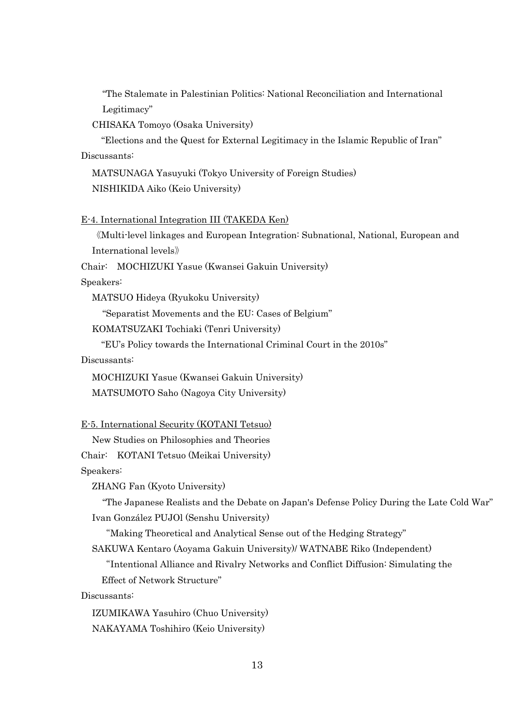"The Stalemate in Palestinian Politics: National Reconciliation and International Legitimacy"

CHISAKA Tomoyo (Osaka University)

"Elections and the Quest for External Legitimacy in the Islamic Republic of Iran" Discussants:

MATSUNAGA Yasuyuki (Tokyo University of Foreign Studies) NISHIKIDA Aiko (Keio University)

E-4. International Integration III (TAKEDA Ken)

《Multi-level linkages and European Integration: Subnational, National, European and International levels》

Chair: MOCHIZUKI Yasue (Kwansei Gakuin University)

Speakers:

MATSUO Hideya (Ryukoku University)

"Separatist Movements and the EU: Cases of Belgium"

KOMATSUZAKI Tochiaki (Tenri University)

"EU's Policy towards the International Criminal Court in the 2010s"

Discussants:

MOCHIZUKI Yasue (Kwansei Gakuin University) MATSUMOTO Saho (Nagoya City University)

E-5. International Security (KOTANI Tetsuo)

New Studies on Philosophies and Theories Chair: KOTANI Tetsuo (Meikai University)

Speakers:

ZHANG Fan (Kyoto University)

"The Japanese Realists and the Debate on Japan's Defense Policy During the Late Cold War" Ivan González PUJOl (Senshu University)

"Making Theoretical and Analytical Sense out of the Hedging Strategy"

SAKUWA Kentaro (Aoyama Gakuin University)/ WATNABE Riko (Independent)

"Intentional Alliance and Rivalry Networks and Conflict Diffusion: Simulating the Effect of Network Structure"

Discussants:

IZUMIKAWA Yasuhiro (Chuo University) NAKAYAMA Toshihiro (Keio University)